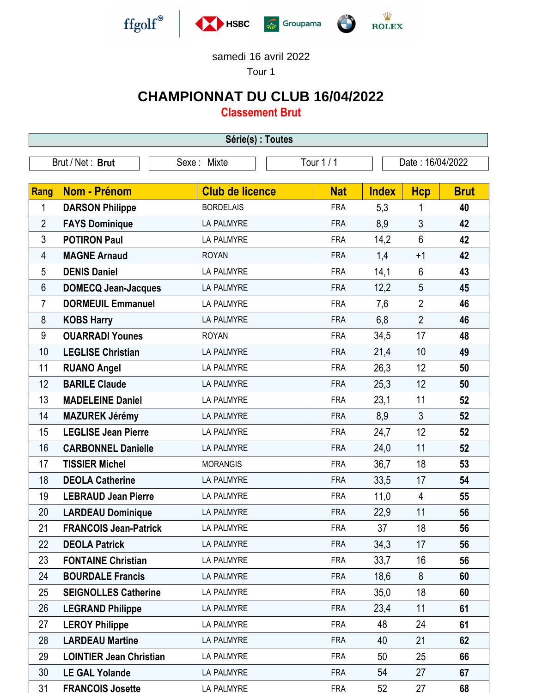

samedi 16 avril 2022

Tour 1

## **CHAMPIONNAT DU CLUB 16/04/2022**

**Classement Brut**

| Série(s) : Toutes |                                |                        |            |              |                  |             |  |  |  |  |
|-------------------|--------------------------------|------------------------|------------|--------------|------------------|-------------|--|--|--|--|
|                   | Brut / Net: Brut               | Sexe: Mixte            | Tour 1/1   |              | Date: 16/04/2022 |             |  |  |  |  |
|                   |                                |                        |            |              |                  |             |  |  |  |  |
| <b>Rang</b>       | <b>Nom - Prénom</b>            | <b>Club de licence</b> | <b>Nat</b> | <b>Index</b> | <b>Hcp</b>       | <b>Brut</b> |  |  |  |  |
| 1                 | <b>DARSON Philippe</b>         | <b>BORDELAIS</b>       | <b>FRA</b> | 5,3          | 1                | 40          |  |  |  |  |
| $\overline{2}$    | <b>FAYS Dominique</b>          | <b>LA PALMYRE</b>      | <b>FRA</b> | 8,9          | 3                | 42          |  |  |  |  |
| 3                 | <b>POTIRON Paul</b>            | <b>LA PALMYRE</b>      | <b>FRA</b> | 14,2         | 6                | 42          |  |  |  |  |
| 4                 | <b>MAGNE Arnaud</b>            | <b>ROYAN</b>           | <b>FRA</b> | 1,4          | $+1$             | 42          |  |  |  |  |
| 5                 | <b>DENIS Daniel</b>            | <b>LA PALMYRE</b>      | <b>FRA</b> | 14,1         | 6                | 43          |  |  |  |  |
| 6                 | <b>DOMECQ Jean-Jacques</b>     | LA PALMYRE             | <b>FRA</b> | 12,2         | 5                | 45          |  |  |  |  |
| 7                 | <b>DORMEUIL Emmanuel</b>       | LA PALMYRE             | <b>FRA</b> | 7,6          | $\overline{2}$   | 46          |  |  |  |  |
| 8                 | <b>KOBS Harry</b>              | <b>LA PALMYRE</b>      | <b>FRA</b> | 6,8          | $\overline{2}$   | 46          |  |  |  |  |
| 9                 | <b>OUARRADI Younes</b>         | <b>ROYAN</b>           | <b>FRA</b> | 34,5         | 17               | 48          |  |  |  |  |
| 10                | <b>LEGLISE Christian</b>       | <b>LA PALMYRE</b>      | <b>FRA</b> | 21,4         | 10               | 49          |  |  |  |  |
| 11                | <b>RUANO Angel</b>             | <b>LA PALMYRE</b>      | <b>FRA</b> | 26,3         | 12               | 50          |  |  |  |  |
| 12                | <b>BARILE Claude</b>           | <b>LA PALMYRE</b>      | <b>FRA</b> | 25,3         | 12               | 50          |  |  |  |  |
| 13                | <b>MADELEINE Daniel</b>        | <b>LA PALMYRE</b>      | <b>FRA</b> | 23,1         | 11               | 52          |  |  |  |  |
| 14                | <b>MAZUREK Jérémy</b>          | LA PALMYRE             | <b>FRA</b> | 8,9          | $\mathfrak{Z}$   | 52          |  |  |  |  |
| 15                | <b>LEGLISE Jean Pierre</b>     | LA PALMYRE             | <b>FRA</b> | 24,7         | 12               | 52          |  |  |  |  |
| 16                | <b>CARBONNEL Danielle</b>      | LA PALMYRE             | <b>FRA</b> | 24,0         | 11               | 52          |  |  |  |  |
| 17                | <b>TISSIER Michel</b>          | <b>MORANGIS</b>        | <b>FRA</b> | 36,7         | 18               | 53          |  |  |  |  |
| 18                | <b>DEOLA Catherine</b>         | <b>LA PALMYRE</b>      | <b>FRA</b> | 33,5         | 17               | 54          |  |  |  |  |
| 19                | <b>LEBRAUD Jean Pierre</b>     | LA PALMYRE             | <b>FRA</b> | 11,0         | $\overline{4}$   | 55          |  |  |  |  |
| 20                | <b>LARDEAU Dominique</b>       | <b>LA PALMYRE</b>      | <b>FRA</b> | 22,9         | 11               | 56          |  |  |  |  |
| 21                | <b>FRANCOIS Jean-Patrick</b>   | <b>LA PALMYRE</b>      | <b>FRA</b> | 37           | 18               | 56          |  |  |  |  |
| 22                | <b>DEOLA Patrick</b>           | <b>LA PALMYRE</b>      | <b>FRA</b> | 34,3         | 17               | 56          |  |  |  |  |
| 23                | <b>FONTAINE Christian</b>      | LA PALMYRE             | <b>FRA</b> | 33,7         | 16               | 56          |  |  |  |  |
| 24                | <b>BOURDALE Francis</b>        | LA PALMYRE             | <b>FRA</b> | 18,6         | 8                | 60          |  |  |  |  |
| 25                | <b>SEIGNOLLES Catherine</b>    | LA PALMYRE             | <b>FRA</b> | 35,0         | 18               | 60          |  |  |  |  |
| 26                | <b>LEGRAND Philippe</b>        | LA PALMYRE             | <b>FRA</b> | 23,4         | 11               | 61          |  |  |  |  |
| 27                | <b>LEROY Philippe</b>          | LA PALMYRE             | <b>FRA</b> | 48           | 24               | 61          |  |  |  |  |
| 28                | <b>LARDEAU Martine</b>         | LA PALMYRE             | <b>FRA</b> | 40           | 21               | 62          |  |  |  |  |
| 29                | <b>LOINTIER Jean Christian</b> | LA PALMYRE             | <b>FRA</b> | 50           | 25               | 66          |  |  |  |  |
| 30                | <b>LE GAL Yolande</b>          | LA PALMYRE             | <b>FRA</b> | 54           | 27               | 67          |  |  |  |  |
| 31                | <b>FRANCOIS Josette</b>        | LA PALMYRE             | <b>FRA</b> | 52           | 27               | 68          |  |  |  |  |